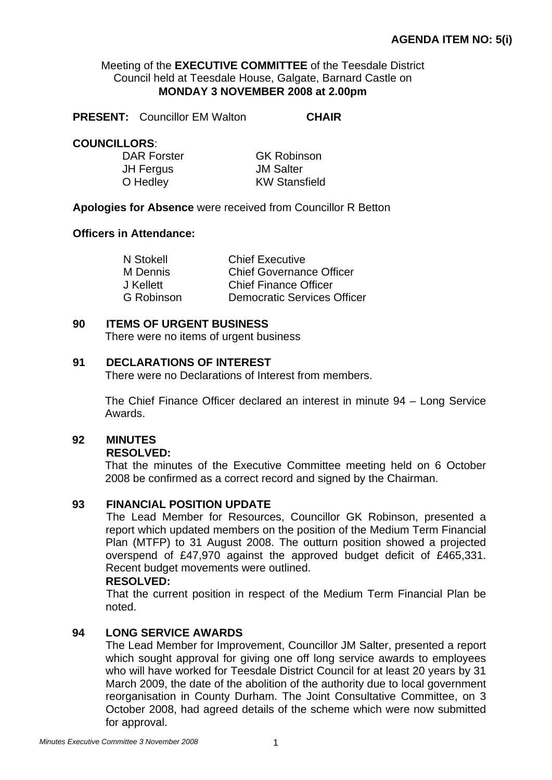## Meeting of the **EXECUTIVE COMMITTEE** of the Teesdale District Council held at Teesdale House, Galgate, Barnard Castle on **MONDAY 3 NOVEMBER 2008 at 2.00pm**

**PRESENT:** Councillor EM Walton **CHAIR** 

## **COUNCILLORS**:

JH Fergus JM Salter

DAR Forster **GK Robinson** O Hedley **KW** Stansfield

## **Apologies for Absence** were received from Councillor R Betton

## **Officers in Attendance:**

| <b>Chief Executive</b>             |
|------------------------------------|
| <b>Chief Governance Officer</b>    |
| <b>Chief Finance Officer</b>       |
| <b>Democratic Services Officer</b> |
|                                    |

## **90 ITEMS OF URGENT BUSINESS**

There were no items of urgent business

## **91 DECLARATIONS OF INTEREST**

There were no Declarations of Interest from members.

The Chief Finance Officer declared an interest in minute 94 – Long Service Awards.

## **92 MINUTES**

#### **RESOLVED:**

That the minutes of the Executive Committee meeting held on 6 October 2008 be confirmed as a correct record and signed by the Chairman.

## **93 FINANCIAL POSITION UPDATE**

The Lead Member for Resources, Councillor GK Robinson, presented a report which updated members on the position of the Medium Term Financial Plan (MTFP) to 31 August 2008. The outturn position showed a projected overspend of £47,970 against the approved budget deficit of £465,331. Recent budget movements were outlined.

## **RESOLVED:**

That the current position in respect of the Medium Term Financial Plan be noted.

## **94 LONG SERVICE AWARDS**

The Lead Member for Improvement, Councillor JM Salter, presented a report which sought approval for giving one off long service awards to employees who will have worked for Teesdale District Council for at least 20 years by 31 March 2009, the date of the abolition of the authority due to local government reorganisation in County Durham. The Joint Consultative Committee, on 3 October 2008, had agreed details of the scheme which were now submitted for approval.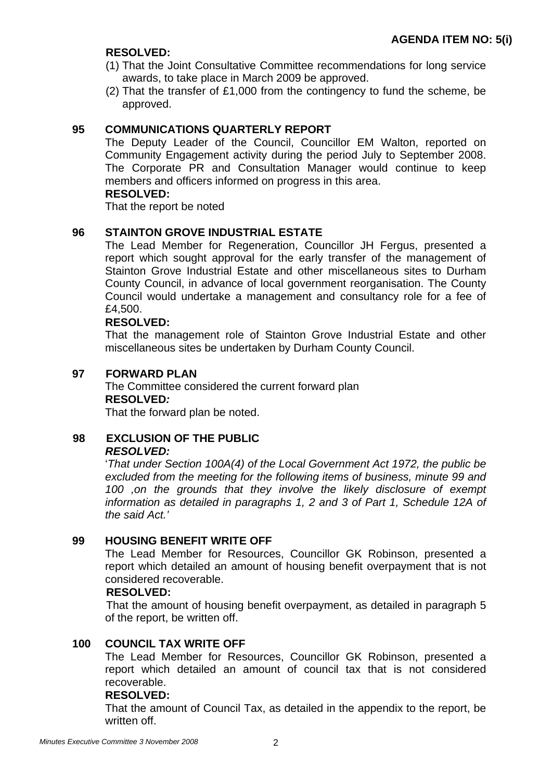## **RESOLVED:**

- (1) That the Joint Consultative Committee recommendations for long service awards, to take place in March 2009 be approved.
- (2) That the transfer of £1,000 from the contingency to fund the scheme, be approved.

## **95 COMMUNICATIONS QUARTERLY REPORT**

The Deputy Leader of the Council, Councillor EM Walton, reported on Community Engagement activity during the period July to September 2008. The Corporate PR and Consultation Manager would continue to keep members and officers informed on progress in this area.

## **RESOLVED:**

That the report be noted

## **96 STAINTON GROVE INDUSTRIAL ESTATE**

The Lead Member for Regeneration, Councillor JH Fergus, presented a report which sought approval for the early transfer of the management of Stainton Grove Industrial Estate and other miscellaneous sites to Durham County Council, in advance of local government reorganisation. The County Council would undertake a management and consultancy role for a fee of £4,500.

## **RESOLVED:**

That the management role of Stainton Grove Industrial Estate and other miscellaneous sites be undertaken by Durham County Council.

## **97 FORWARD PLAN**

The Committee considered the current forward plan **RESOLVED***:* 

That the forward plan be noted.

## **98 EXCLUSION OF THE PUBLIC**  *RESOLVED:*

'*That under Section 100A(4) of the Local Government Act 1972, the public be excluded from the meeting for the following items of business, minute 99 and 100 ,on the grounds that they involve the likely disclosure of exempt information as detailed in paragraphs 1, 2 and 3 of Part 1, Schedule 12A of the said Act.'* 

## **99 HOUSING BENEFIT WRITE OFF**

The Lead Member for Resources, Councillor GK Robinson, presented a report which detailed an amount of housing benefit overpayment that is not considered recoverable.

## **RESOLVED:**

That the amount of housing benefit overpayment, as detailed in paragraph 5 of the report, be written off.

## **100 COUNCIL TAX WRITE OFF**

The Lead Member for Resources, Councillor GK Robinson, presented a report which detailed an amount of council tax that is not considered recoverable.

## **RESOLVED:**

That the amount of Council Tax, as detailed in the appendix to the report, be written off.